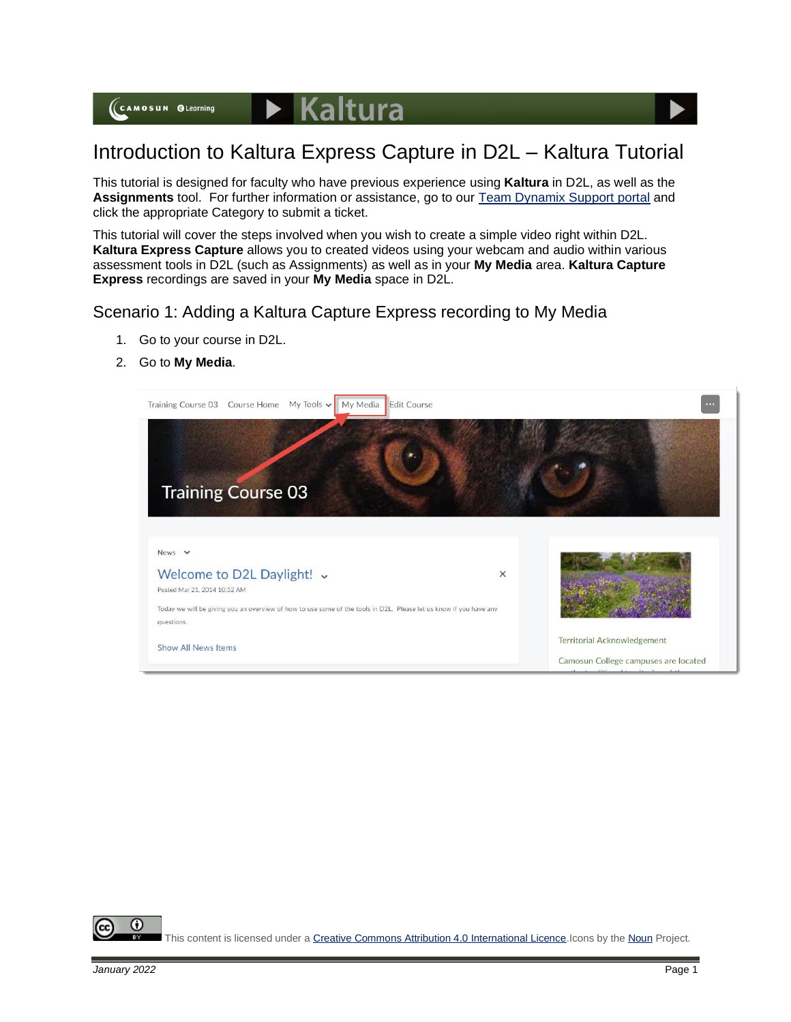## Introduction to Kaltura Express Capture in D2L – Kaltura Tutorial

This tutorial is designed for faculty who have previous experience using **Kaltura** in D2L, as well as the **Assignments** tool. For further information or assistance, go to our [Team Dynamix Support portal](https://camosun.teamdynamix.com/TDClient/67/Portal/Requests/ServiceCatalog?CategoryID=523) and click the appropriate Category to submit a ticket.

This tutorial will cover the steps involved when you wish to create a simple video right within D2L. **Kaltura Express Capture** allows you to created videos using your webcam and audio within various assessment tools in D2L (such as Assignments) as well as in your **My Media** area. **Kaltura Capture Express** recordings are saved in your **My Media** space in D2L.

## Scenario 1: Adding a Kaltura Capture Express recording to My Media

- 1. Go to your course in D2L.
- 2. Go to **My Media**.



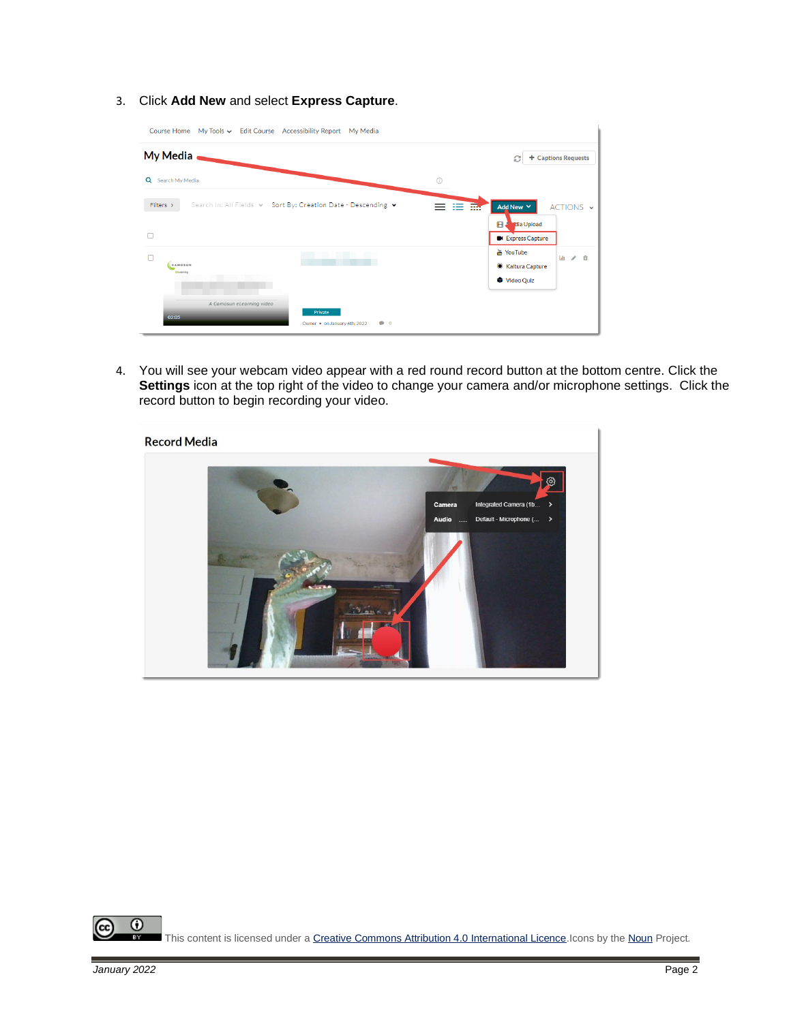3. Click **Add New** and select **Express Capture**.

| Course Home My Tools v Edit Course Accessibility Report<br>My Media                          |                                                                                               |
|----------------------------------------------------------------------------------------------|-----------------------------------------------------------------------------------------------|
| <b>My Media</b><br>+ Captions Requests<br>ø                                                  |                                                                                               |
| $\odot$<br>Search My Media<br>Q                                                              |                                                                                               |
| Filters ><br>Search In: All Fields v Sort By: Creation Date - Descending v<br>--<br>┈<br>⊓   | Add New Y<br>ACTIONS V<br>田.<br>dia Upload<br><b>Express Capture</b>                          |
| $\Box$<br>CAMOSUN<br><b>O</b> Leersing                                                       | <b>品 YouTube</b><br>Lh<br>亩<br>$\mathcal{A}^{\mathcal{B}}$<br>● Kaltura Capture<br>Video Quiz |
| A Camosun eLearning video<br>Private<br>02:05<br>$\bullet$ 0<br>Owner . on January 6th, 2022 |                                                                                               |

4. You will see your webcam video appear with a red round record button at the bottom centre. Click the **Settings** icon at the top right of the video to change your camera and/or microphone settings. Click the record button to begin recording your video.

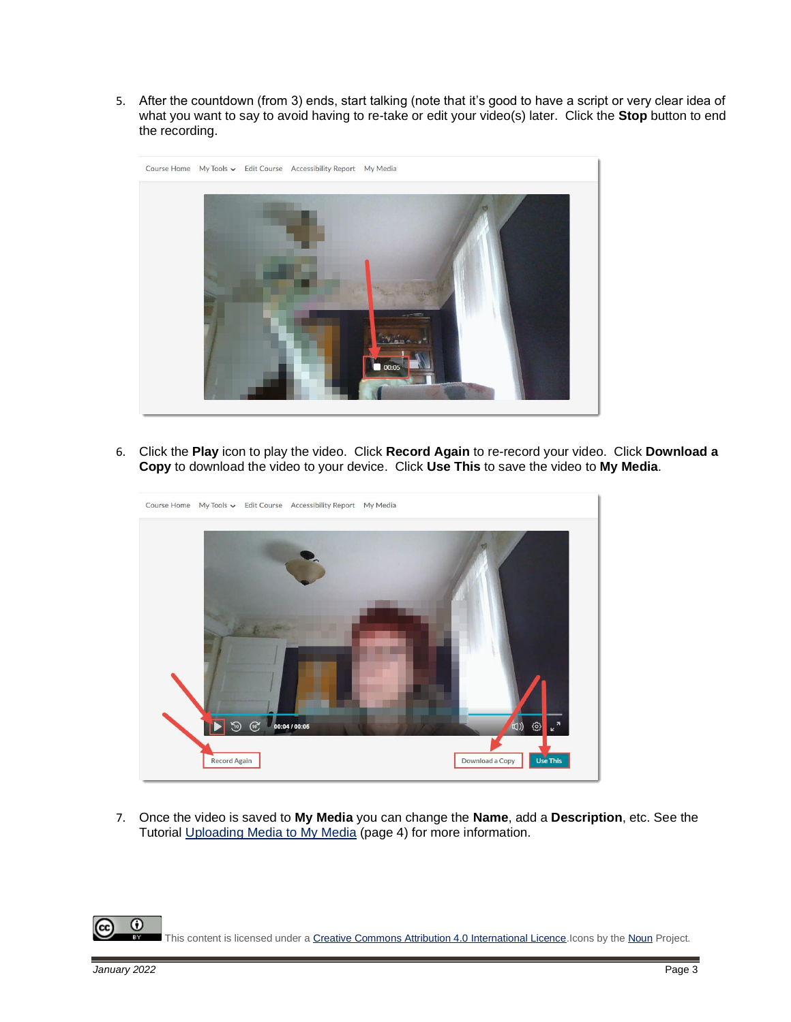5. After the countdown (from 3) ends, start talking (note that it's good to have a script or very clear idea of what you want to say to avoid having to re-take or edit your video(s) later. Click the **Stop** button to end the recording.



6. Click the **Play** icon to play the video. Click **Record Again** to re-record your video. Click **Download a Copy** to download the video to your device. Click **Use This** to save the video to **My Media**.

![](_page_2_Figure_3.jpeg)

7. Once the video is saved to **My Media** you can change the **Name**, add a **Description**, etc. See the Tutorial [Uploading Media to My Media](https://elearningtutorialscamosun.opened.ca/wp-content/uploads/sites/1304/2021/12/UploadingVideoToKalturaMyMedia-D2L-Dec2021.pdf) (page 4) for more information.

This content is licensed under [a Creative Commons Attribution 4.0 International Licence.I](https://creativecommons.org/licenses/by/4.0/)cons by th[e Noun](https://creativecommons.org/website-icons/) Project.

 $\odot$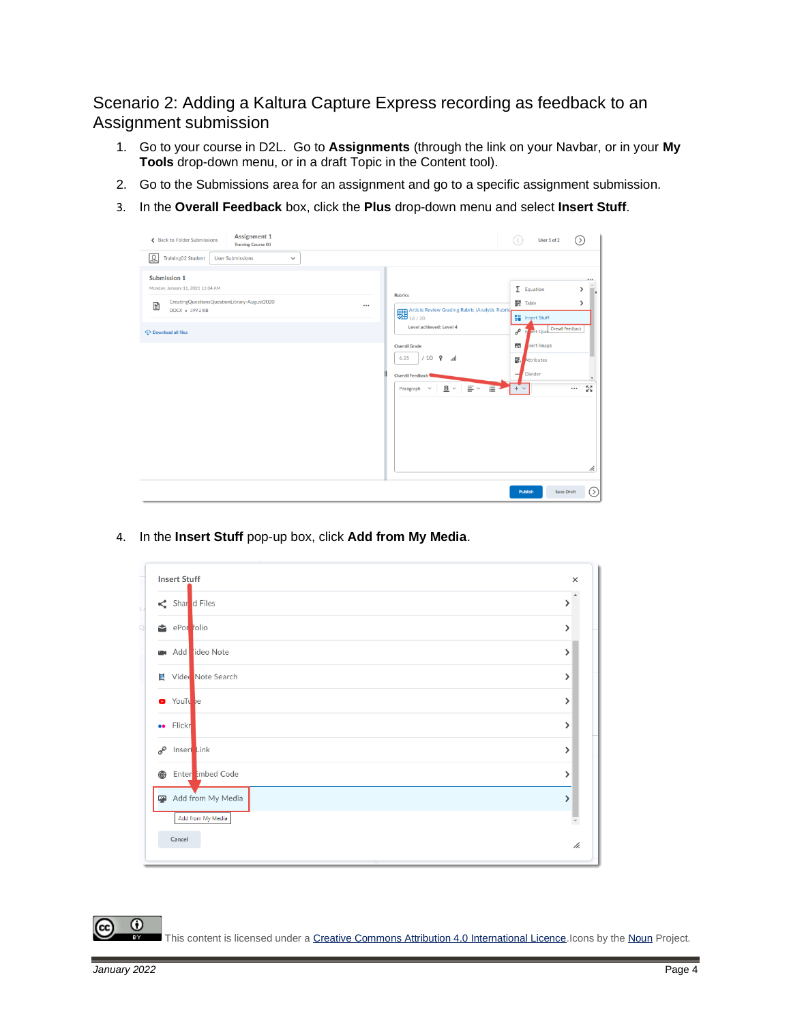Scenario 2: Adding a Kaltura Capture Express recording as feedback to an Assignment submission

- 1. Go to your course in D2L. Go to **Assignments** (through the link on your Navbar, or in your **My Tools** drop-down menu, or in a draft Topic in the Content tool).
- 2. Go to the Submissions area for an assignment and go to a specific assignment submission.
- 3. In the **Overall Feedback** box, click the **Plus** drop-down menu and select **Insert Stuff**.

![](_page_3_Picture_4.jpeg)

4. In the **Insert Stuff** pop-up box, click **Add from My Media**.

| Shar d Files                               |  |
|--------------------------------------------|--|
| ePor folio                                 |  |
| Add ideo Note<br><b>City</b>               |  |
| Vided Note Search<br>П                     |  |
| YouTu be<br>$\bullet$                      |  |
| Flickr<br>$\bullet\bullet$                 |  |
| Insert Link<br>$\mathcal{C}^{\mathcal{O}}$ |  |
| Enter imbed Code<br>⊕                      |  |
| Add from My Media                          |  |
| Add from My Media                          |  |

This content is licensed under [a Creative Commons Attribution 4.0 International Licence.I](https://creativecommons.org/licenses/by/4.0/)cons by th[e Noun](https://creativecommons.org/website-icons/) Project.

 $\odot$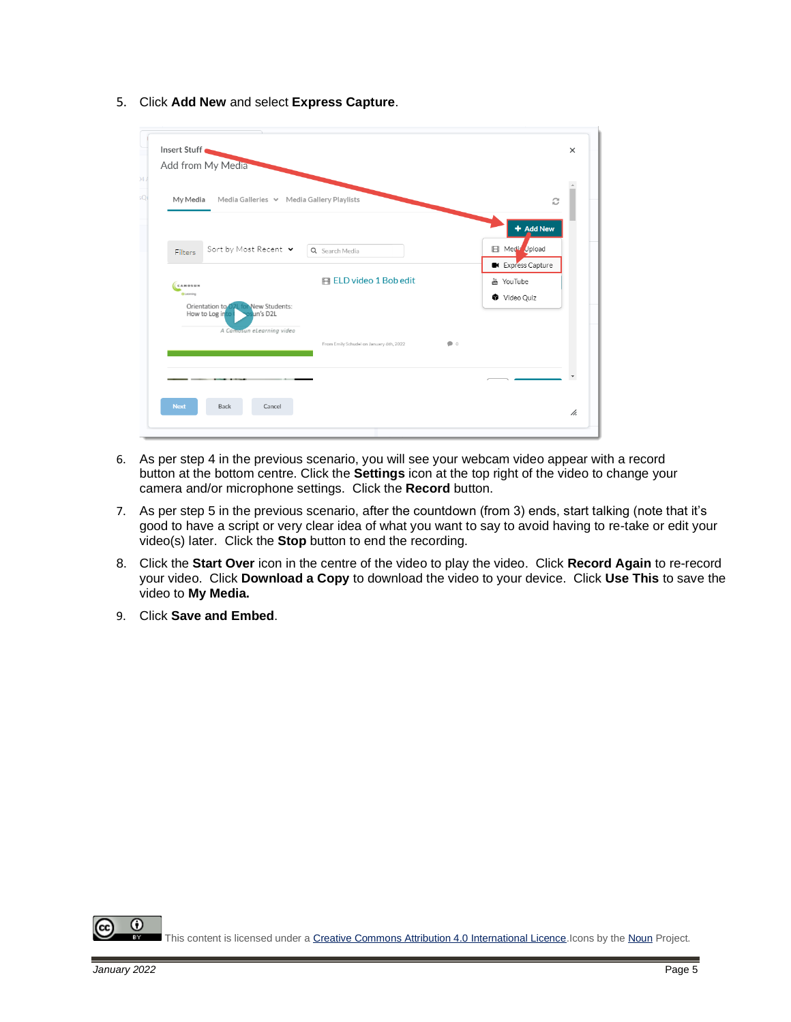- Insert Stuff  $\times$ Add from My Media My Media Media Galleries V Media Gallery Playlists  $\tilde{c}$ + Add New Sort by Most Recent v **Ell** Media Upload Q Search Media Filters **Express Canture** 用 ELD video 1 Bob edit ₩ YouTube **CAMOSUN** Video Quiz  $\bullet$ Cancel Back
- 5. Click **Add New** and select **Express Capture**.

- 6. As per step 4 in the previous scenario, you will see your webcam video appear with a record button at the bottom centre. Click the **Settings** icon at the top right of the video to change your camera and/or microphone settings. Click the **Record** button.
- 7. As per step 5 in the previous scenario, after the countdown (from 3) ends, start talking (note that it's good to have a script or very clear idea of what you want to say to avoid having to re-take or edit your video(s) later. Click the **Stop** button to end the recording.
- 8. Click the **Start Over** icon in the centre of the video to play the video. Click **Record Again** to re-record your video. Click **Download a Copy** to download the video to your device. Click **Use This** to save the video to **My Media.**
- 9. Click **Save and Embed**.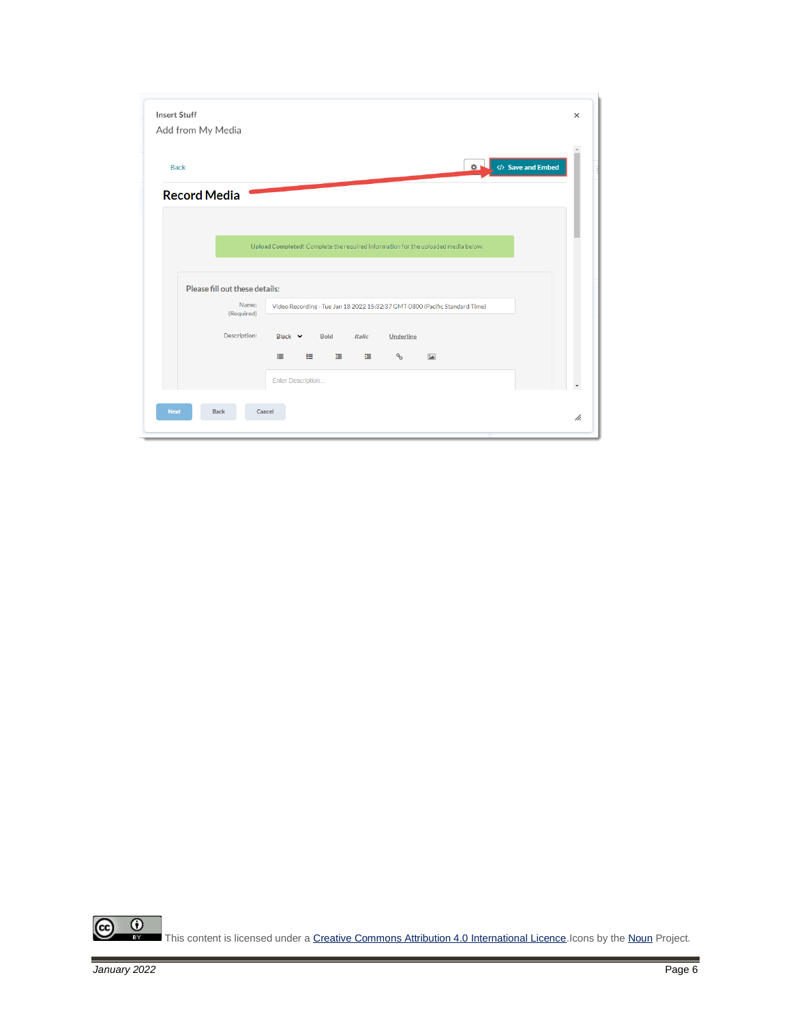| <b>Insert Stuff</b>            |                                                                                   | $\times$ |
|--------------------------------|-----------------------------------------------------------------------------------|----------|
| Add from My Media              |                                                                                   |          |
|                                |                                                                                   |          |
| <b>Back</b>                    | Save and Embed<br>$\Phi$                                                          |          |
| <b>Record Media</b>            |                                                                                   |          |
|                                |                                                                                   |          |
|                                |                                                                                   |          |
|                                | Upload Completed! Complete the required information for the uploaded media below. |          |
|                                |                                                                                   |          |
| Please fill out these details: |                                                                                   |          |
| Name:<br>(Required)            | Video Recording - Tue Jan 18 2022 15:32:37 GMT-0800 (Pacific Standard Time)       |          |
|                                |                                                                                   |          |
| Description:                   | Black Y<br><b>Bold</b><br><b>Italic</b><br>Underline                              |          |
|                                | $\mathcal{C}_{\mathcal{O}}$<br>這<br>挂<br>彊<br>彊<br>$\boxed{2}$                    |          |
|                                | Enter Description                                                                 |          |
|                                |                                                                                   |          |
|                                |                                                                                   |          |
| <b>Next</b><br>Back            | Cancel                                                                            | h.       |

 $\frac{1}{\sqrt{2}}$  $\circledcirc$